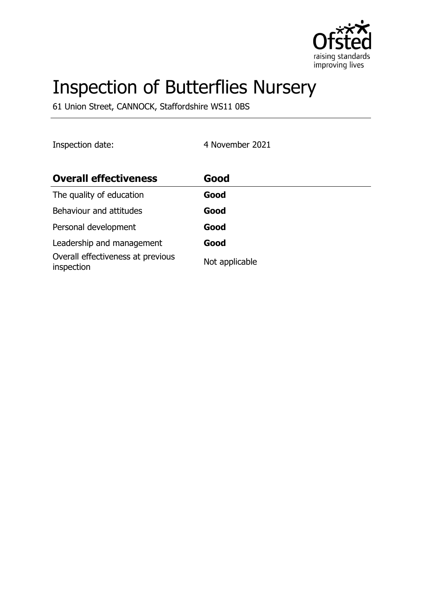

# Inspection of Butterflies Nursery

61 Union Street, CANNOCK, Staffordshire WS11 0BS

Inspection date: 4 November 2021

| <b>Overall effectiveness</b>                    | Good           |
|-------------------------------------------------|----------------|
| The quality of education                        | Good           |
| Behaviour and attitudes                         | Good           |
| Personal development                            | Good           |
| Leadership and management                       | Good           |
| Overall effectiveness at previous<br>inspection | Not applicable |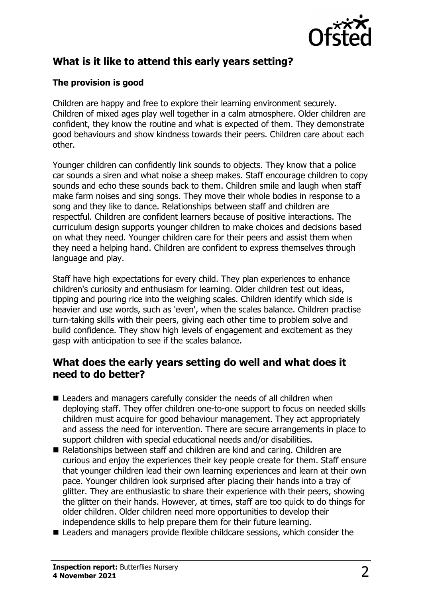

# **What is it like to attend this early years setting?**

#### **The provision is good**

Children are happy and free to explore their learning environment securely. Children of mixed ages play well together in a calm atmosphere. Older children are confident, they know the routine and what is expected of them. They demonstrate good behaviours and show kindness towards their peers. Children care about each other.

Younger children can confidently link sounds to objects. They know that a police car sounds a siren and what noise a sheep makes. Staff encourage children to copy sounds and echo these sounds back to them. Children smile and laugh when staff make farm noises and sing songs. They move their whole bodies in response to a song and they like to dance. Relationships between staff and children are respectful. Children are confident learners because of positive interactions. The curriculum design supports younger children to make choices and decisions based on what they need. Younger children care for their peers and assist them when they need a helping hand. Children are confident to express themselves through language and play.

Staff have high expectations for every child. They plan experiences to enhance children's curiosity and enthusiasm for learning. Older children test out ideas, tipping and pouring rice into the weighing scales. Children identify which side is heavier and use words, such as 'even', when the scales balance. Children practise turn-taking skills with their peers, giving each other time to problem solve and build confidence. They show high levels of engagement and excitement as they gasp with anticipation to see if the scales balance.

### **What does the early years setting do well and what does it need to do better?**

- $\blacksquare$  Leaders and managers carefully consider the needs of all children when deploying staff. They offer children one-to-one support to focus on needed skills children must acquire for good behaviour management. They act appropriately and assess the need for intervention. There are secure arrangements in place to support children with special educational needs and/or disabilities.
- $\blacksquare$  Relationships between staff and children are kind and caring. Children are curious and enjoy the experiences their key people create for them. Staff ensure that younger children lead their own learning experiences and learn at their own pace. Younger children look surprised after placing their hands into a tray of glitter. They are enthusiastic to share their experience with their peers, showing the glitter on their hands. However, at times, staff are too quick to do things for older children. Older children need more opportunities to develop their independence skills to help prepare them for their future learning.
- $\blacksquare$  Leaders and managers provide flexible childcare sessions, which consider the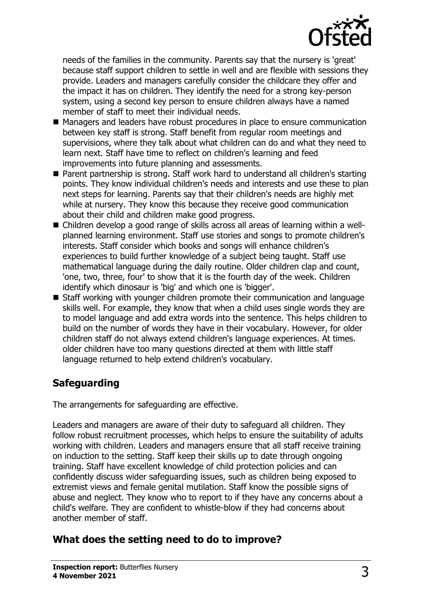

needs of the families in the community. Parents say that the nursery is 'great' because staff support children to settle in well and are flexible with sessions they provide. Leaders and managers carefully consider the childcare they offer and the impact it has on children. They identify the need for a strong key-person system, using a second key person to ensure children always have a named member of staff to meet their individual needs.

- Managers and leaders have robust procedures in place to ensure communication between key staff is strong. Staff benefit from regular room meetings and supervisions, where they talk about what children can do and what they need to learn next. Staff have time to reflect on children's learning and feed improvements into future planning and assessments.
- Parent partnership is strong. Staff work hard to understand all children's starting points. They know individual children's needs and interests and use these to plan next steps for learning. Parents say that their children's needs are highly met while at nursery. They know this because they receive good communication about their child and children make good progress.
- Children develop a good range of skills across all areas of learning within a wellplanned learning environment. Staff use stories and songs to promote children's interests. Staff consider which books and songs will enhance children's experiences to build further knowledge of a subject being taught. Staff use mathematical language during the daily routine. Older children clap and count, 'one, two, three, four' to show that it is the fourth day of the week. Children identify which dinosaur is 'big' and which one is 'bigger'.
- Staff working with younger children promote their communication and language skills well. For example, they know that when a child uses single words they are to model language and add extra words into the sentence. This helps children to build on the number of words they have in their vocabulary. However, for older children staff do not always extend children's language experiences. At times. older children have too many questions directed at them with little staff language returned to help extend children's vocabulary.

# **Safeguarding**

The arrangements for safeguarding are effective.

Leaders and managers are aware of their duty to safeguard all children. They follow robust recruitment processes, which helps to ensure the suitability of adults working with children. Leaders and managers ensure that all staff receive training on induction to the setting. Staff keep their skills up to date through ongoing training. Staff have excellent knowledge of child protection policies and can confidently discuss wider safeguarding issues, such as children being exposed to extremist views and female genital mutilation. Staff know the possible signs of abuse and neglect. They know who to report to if they have any concerns about a child's welfare. They are confident to whistle-blow if they had concerns about another member of staff.

# **What does the setting need to do to improve?**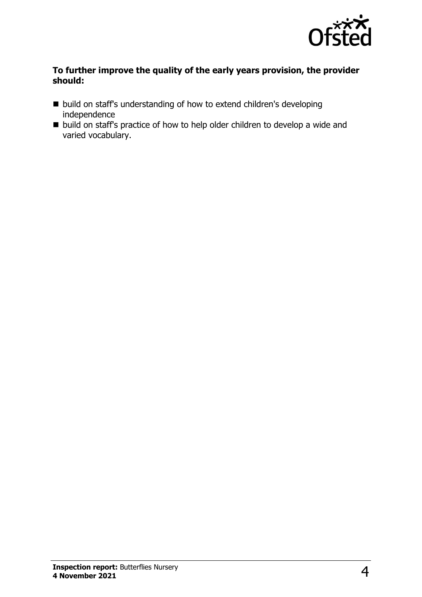

#### **To further improve the quality of the early years provision, the provider should:**

- build on staff's understanding of how to extend children's developing independence
- $\blacksquare$  build on staff's practice of how to help older children to develop a wide and varied vocabulary.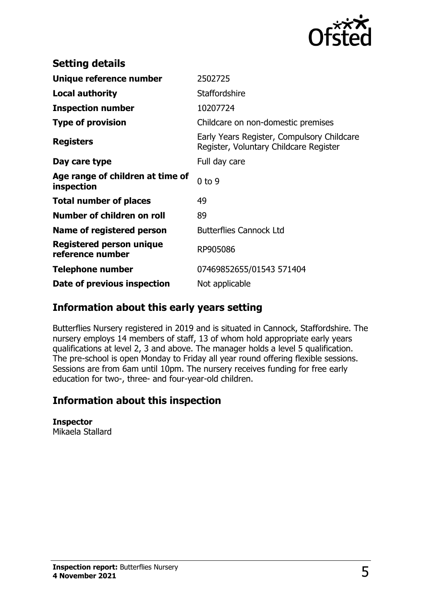

| <b>Setting details</b>                         |                                                                                      |
|------------------------------------------------|--------------------------------------------------------------------------------------|
| Unique reference number                        | 2502725                                                                              |
| <b>Local authority</b>                         | <b>Staffordshire</b>                                                                 |
| <b>Inspection number</b>                       | 10207724                                                                             |
| <b>Type of provision</b>                       | Childcare on non-domestic premises                                                   |
| <b>Registers</b>                               | Early Years Register, Compulsory Childcare<br>Register, Voluntary Childcare Register |
| Day care type                                  | Full day care                                                                        |
| Age range of children at time of<br>inspection | $0$ to $9$                                                                           |
| <b>Total number of places</b>                  | 49                                                                                   |
| Number of children on roll                     | 89                                                                                   |
| Name of registered person                      | <b>Butterflies Cannock Ltd</b>                                                       |
| Registered person unique<br>reference number   | RP905086                                                                             |
| Telephone number                               | 07469852655/01543 571404                                                             |
| Date of previous inspection                    | Not applicable                                                                       |

## **Information about this early years setting**

Butterflies Nursery registered in 2019 and is situated in Cannock, Staffordshire. The nursery employs 14 members of staff, 13 of whom hold appropriate early years qualifications at level 2, 3 and above. The manager holds a level 5 qualification. The pre-school is open Monday to Friday all year round offering flexible sessions. Sessions are from 6am until 10pm. The nursery receives funding for free early education for two-, three- and four-year-old children.

## **Information about this inspection**

**Inspector** Mikaela Stallard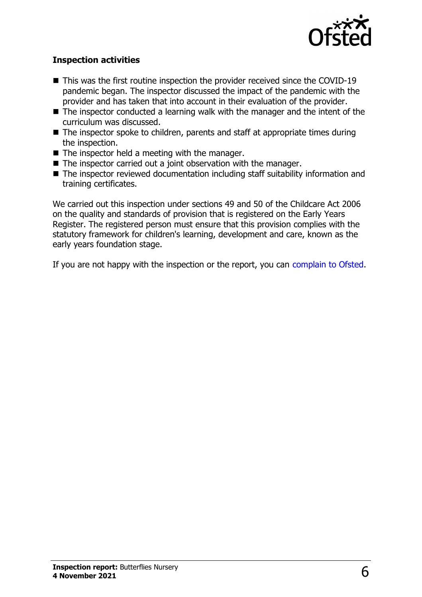

#### **Inspection activities**

- $\blacksquare$  This was the first routine inspection the provider received since the COVID-19 pandemic began. The inspector discussed the impact of the pandemic with the provider and has taken that into account in their evaluation of the provider.
- $\blacksquare$  The inspector conducted a learning walk with the manager and the intent of the curriculum was discussed.
- $\blacksquare$  The inspector spoke to children, parents and staff at appropriate times during the inspection.
- $\blacksquare$  The inspector held a meeting with the manager.
- $\blacksquare$  The inspector carried out a joint observation with the manager.
- The inspector reviewed documentation including staff suitability information and training certificates.

We carried out this inspection under sections 49 and 50 of the Childcare Act 2006 on the quality and standards of provision that is registered on the Early Years Register. The registered person must ensure that this provision complies with the statutory framework for children's learning, development and care, known as the early years foundation stage.

If you are not happy with the inspection or the report, you can [complain to Ofsted](http://www.gov.uk/complain-ofsted-report).